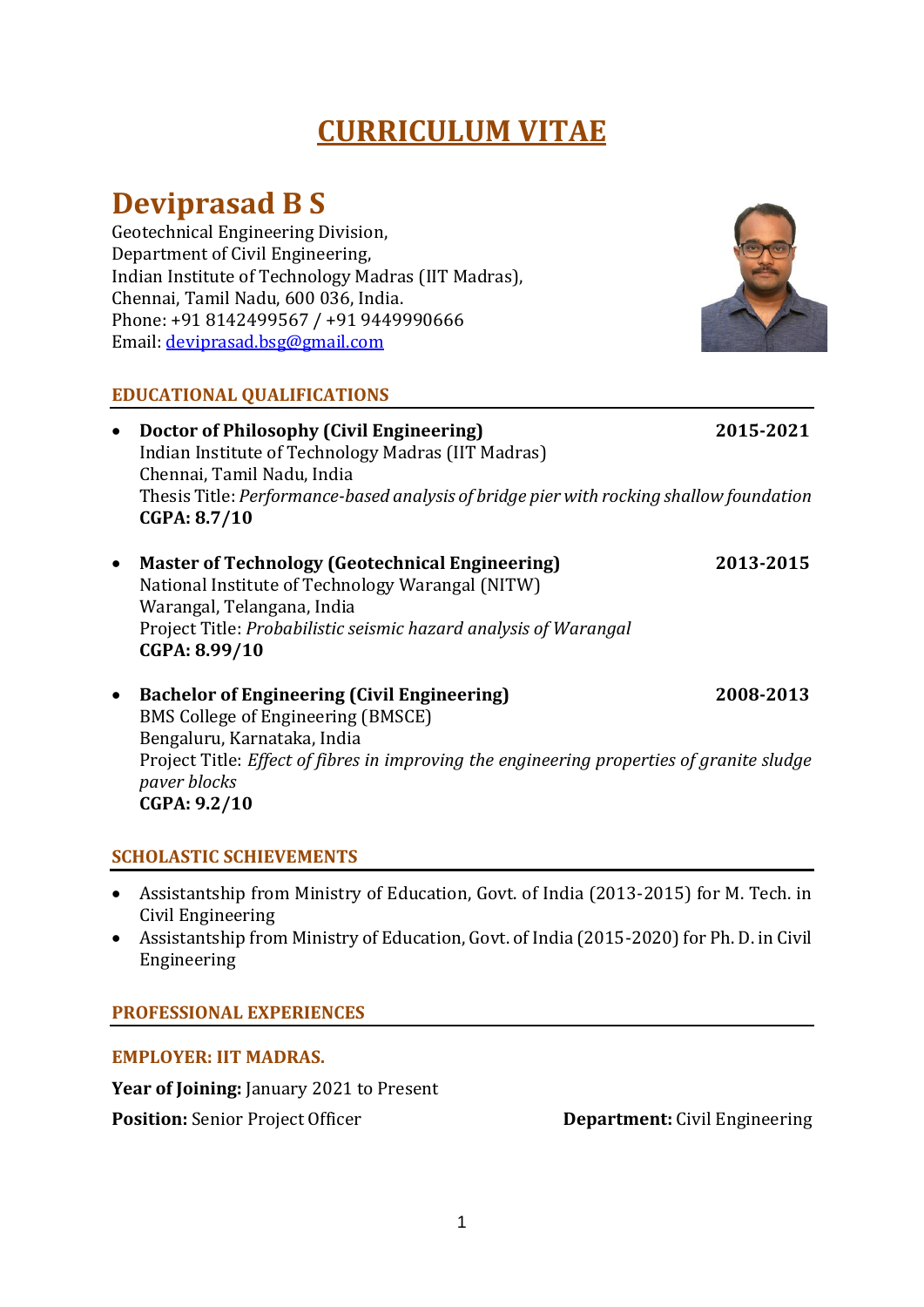# **CURRICULUM VITAE**

# **Deviprasad B S**

Geotechnical Engineering Division, Department of Civil Engineering, Indian Institute of Technology Madras (IIT Madras), Chennai, Tamil Nadu, 600 036, India. Phone: +91 8142499567 / +91 9449990666 Email: [deviprasad.bsg@gmail.com](mailto:deviprasad.bsg@gmail.com)

## **EDUCATIONAL QUALIFICATIONS**

• **Doctor of Philosophy (Civil Engineering) 2015-2021** Indian Institute of Technology Madras (IIT Madras) Chennai, Tamil Nadu, India

Thesis Title: *Performance-based analysis of bridge pier with rocking shallow foundation* **CGPA: 8.7/10**

- **Master of Technology (Geotechnical Engineering) 2013-2015** National Institute of Technology Warangal (NITW) Warangal, Telangana, India Project Title: *Probabilistic seismic hazard analysis of Warangal* **CGPA: 8.99/10**
- **Bachelor of Engineering (Civil Engineering) 2008-2013** BMS College of Engineering (BMSCE) Bengaluru, Karnataka, India Project Title: *Effect of fibres in improving the engineering properties of granite sludge paver blocks* **CGPA: 9.2/10**

## **SCHOLASTIC SCHIEVEMENTS**

- Assistantship from Ministry of Education, Govt. of India (2013-2015) for M. Tech. in Civil Engineering
- Assistantship from Ministry of Education, Govt. of India (2015-2020) for Ph. D. in Civil Engineering

## **PROFESSIONAL EXPERIENCES**

#### **EMPLOYER: IIT MADRAS.**

**Year of Joining:** January 2021 to Present **Position:** Senior Project Officer **Department:** Civil Engineering

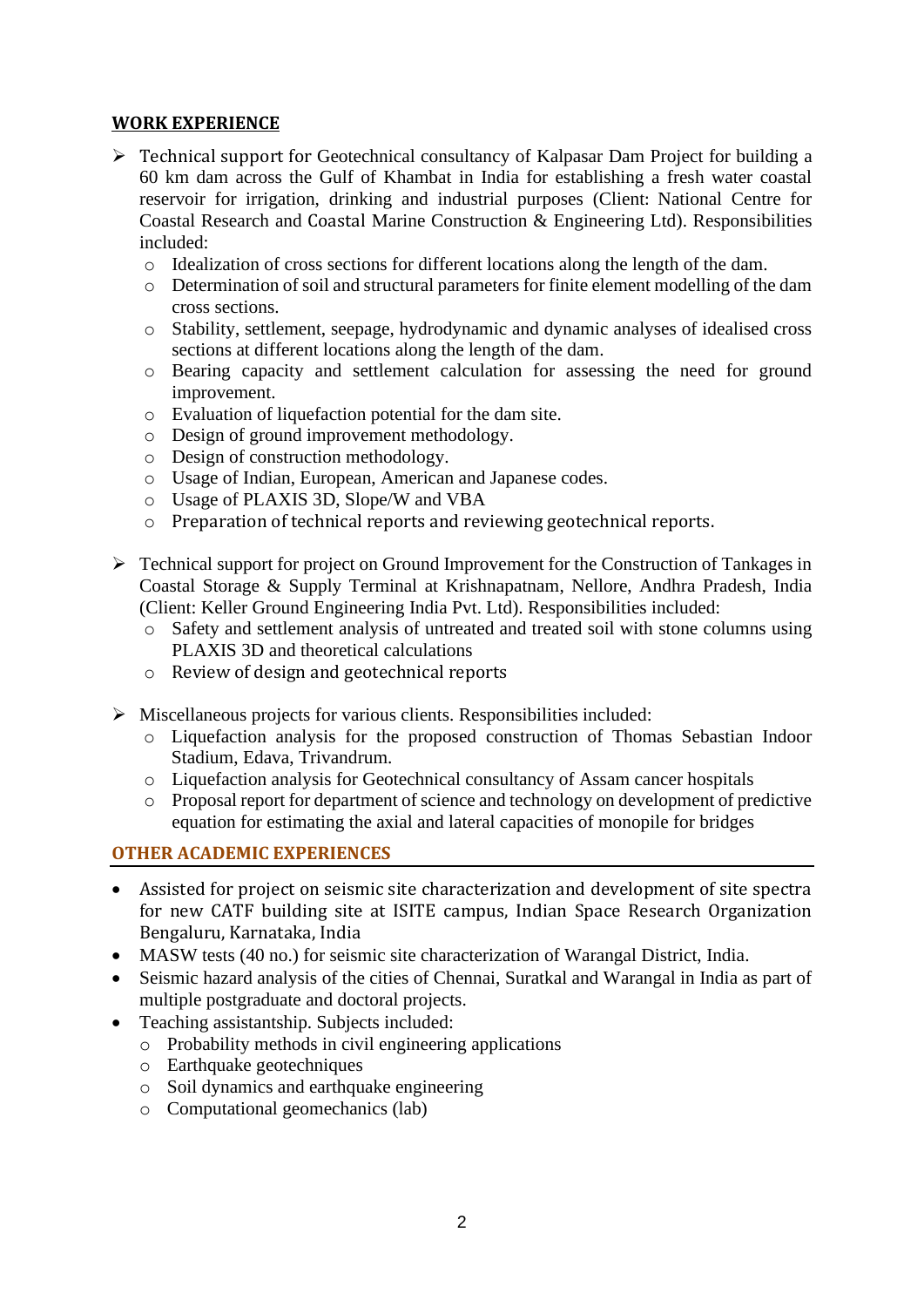#### **WORK EXPERIENCE**

- ➢ Technical support for Geotechnical consultancy of Kalpasar Dam Project for building a 60 km dam across the Gulf of Khambat in India for establishing a fresh water coastal reservoir for irrigation, drinking and industrial purposes (Client: National Centre for Coastal Research and Coastal Marine Construction & Engineering Ltd). Responsibilities included:
	- o Idealization of cross sections for different locations along the length of the dam.
	- o Determination of soil and structural parameters for finite element modelling of the dam cross sections.
	- o Stability, settlement, seepage, hydrodynamic and dynamic analyses of idealised cross sections at different locations along the length of the dam.
	- o Bearing capacity and settlement calculation for assessing the need for ground improvement.
	- o Evaluation of liquefaction potential for the dam site.
	- o Design of ground improvement methodology.
	- o Design of construction methodology.
	- o Usage of Indian, European, American and Japanese codes.
	- o Usage of PLAXIS 3D, Slope/W and VBA
	- o Preparation of technical reports and reviewing geotechnical reports.
- ➢ Technical support for project on Ground Improvement for the Construction of Tankages in Coastal Storage & Supply Terminal at Krishnapatnam, Nellore, Andhra Pradesh, India (Client: Keller Ground Engineering India Pvt. Ltd). Responsibilities included:
	- o Safety and settlement analysis of untreated and treated soil with stone columns using PLAXIS 3D and theoretical calculations
	- o Review of design and geotechnical reports
- ➢ Miscellaneous projects for various clients. Responsibilities included:
	- o Liquefaction analysis for the proposed construction of Thomas Sebastian Indoor Stadium, Edava, Trivandrum.
	- o Liquefaction analysis for Geotechnical consultancy of Assam cancer hospitals
	- o Proposal report for department of science and technology on development of predictive equation for estimating the axial and lateral capacities of monopile for bridges

#### **OTHER ACADEMIC EXPERIENCES**

- Assisted for project on seismic site characterization and development of site spectra for new CATF building site at ISITE campus, Indian Space Research Organization Bengaluru, Karnataka, India
- MASW tests (40 no.) for seismic site characterization of Warangal District, India.
- Seismic hazard analysis of the cities of Chennai, Suratkal and Warangal in India as part of multiple postgraduate and doctoral projects.
- Teaching assistantship. Subjects included:
	- o Probability methods in civil engineering applications
	- o Earthquake geotechniques
	- o Soil dynamics and earthquake engineering
	- o Computational geomechanics (lab)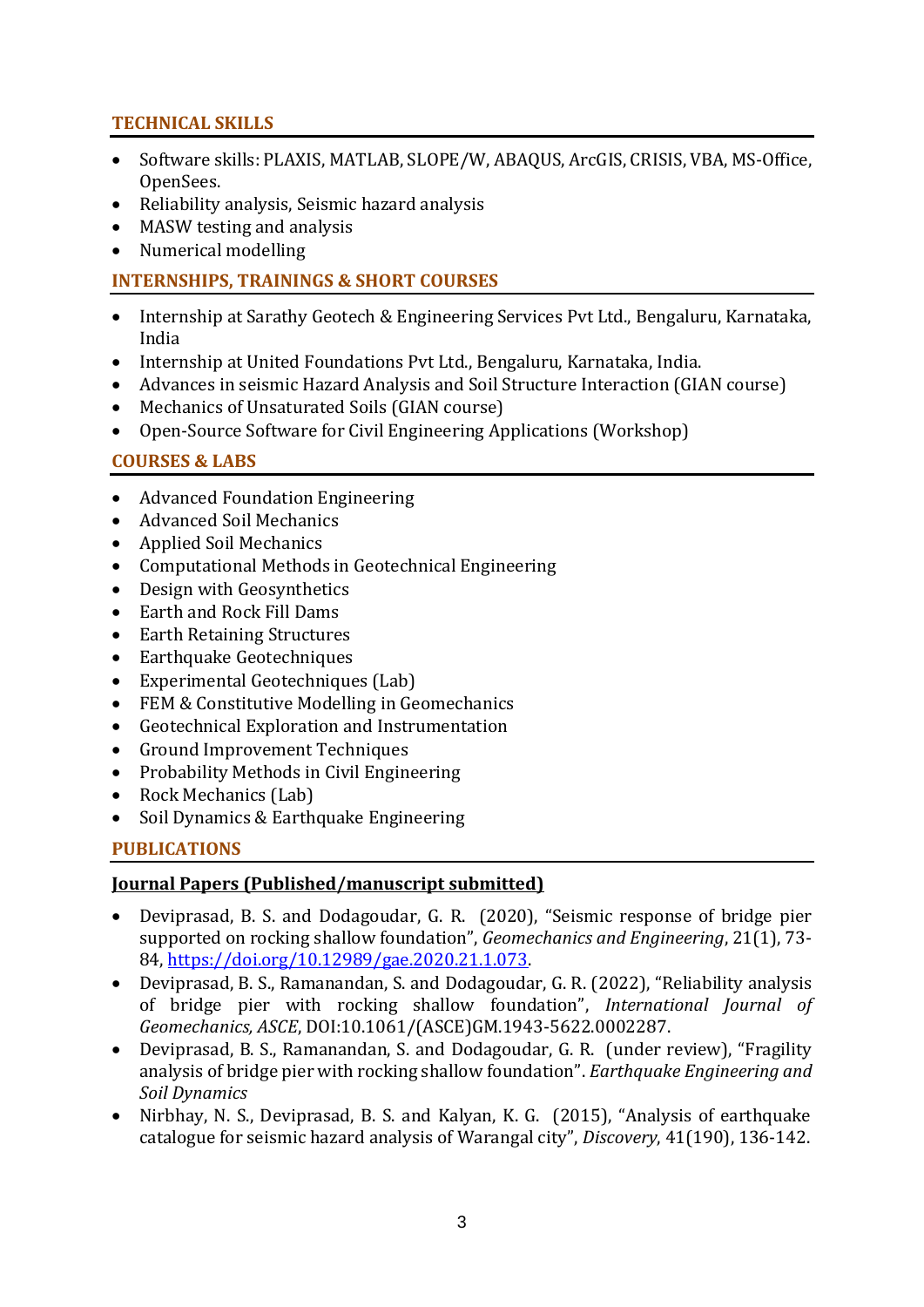## **TECHNICAL SKILLS**

- Software skills: PLAXIS, MATLAB, SLOPE/W, ABAQUS, ArcGIS, CRISIS, VBA, MS-Office, OpenSees.
- Reliability analysis, Seismic hazard analysis
- MASW testing and analysis
- Numerical modelling

## **INTERNSHIPS, TRAININGS & SHORT COURSES**

- Internship at Sarathy Geotech & Engineering Services Pvt Ltd., Bengaluru, Karnataka, India
- Internship at United Foundations Pvt Ltd., Bengaluru, Karnataka, India.
- Advances in seismic Hazard Analysis and Soil Structure Interaction (GIAN course)
- Mechanics of Unsaturated Soils (GIAN course)
- Open-Source Software for Civil Engineering Applications (Workshop)

## **COURSES & LABS**

- Advanced Foundation Engineering
- Advanced Soil Mechanics
- Applied Soil Mechanics
- Computational Methods in Geotechnical Engineering
- Design with Geosynthetics
- Earth and Rock Fill Dams
- Earth Retaining Structures
- Earthquake Geotechniques
- Experimental Geotechniques (Lab)
- FEM & Constitutive Modelling in Geomechanics
- Geotechnical Exploration and Instrumentation
- Ground Improvement Techniques
- Probability Methods in Civil Engineering
- Rock Mechanics (Lab)
- Soil Dynamics & Earthquake Engineering

## **PUBLICATIONS**

#### **Journal Papers (Published/manuscript submitted)**

- Deviprasad, B. S. and Dodagoudar, G. R. (2020), "Seismic response of bridge pier supported on rocking shallow foundation", *Geomechanics and Engineering*, 21(1), 73- 84, [https://doi.org/10.12989/gae.2020.21.1.073.](https://doi.org/10.12989/gae.2020.21.1.073)
- Deviprasad, B. S., Ramanandan, S. and Dodagoudar, G. R. (2022), "Reliability analysis of bridge pier with rocking shallow foundation", *International Journal of Geomechanics, ASCE*, DOI:10.1061/(ASCE)GM.1943-5622.0002287.
- Deviprasad, B. S., Ramanandan, S. and Dodagoudar, G. R. (under review), "Fragility analysis of bridge pier with rocking shallow foundation". *Earthquake Engineering and Soil Dynamics*
- Nirbhay, N. S., Deviprasad, B. S. and Kalyan, K. G. (2015), "Analysis of earthquake catalogue for seismic hazard analysis of Warangal city", *Discovery*, 41(190), 136-142.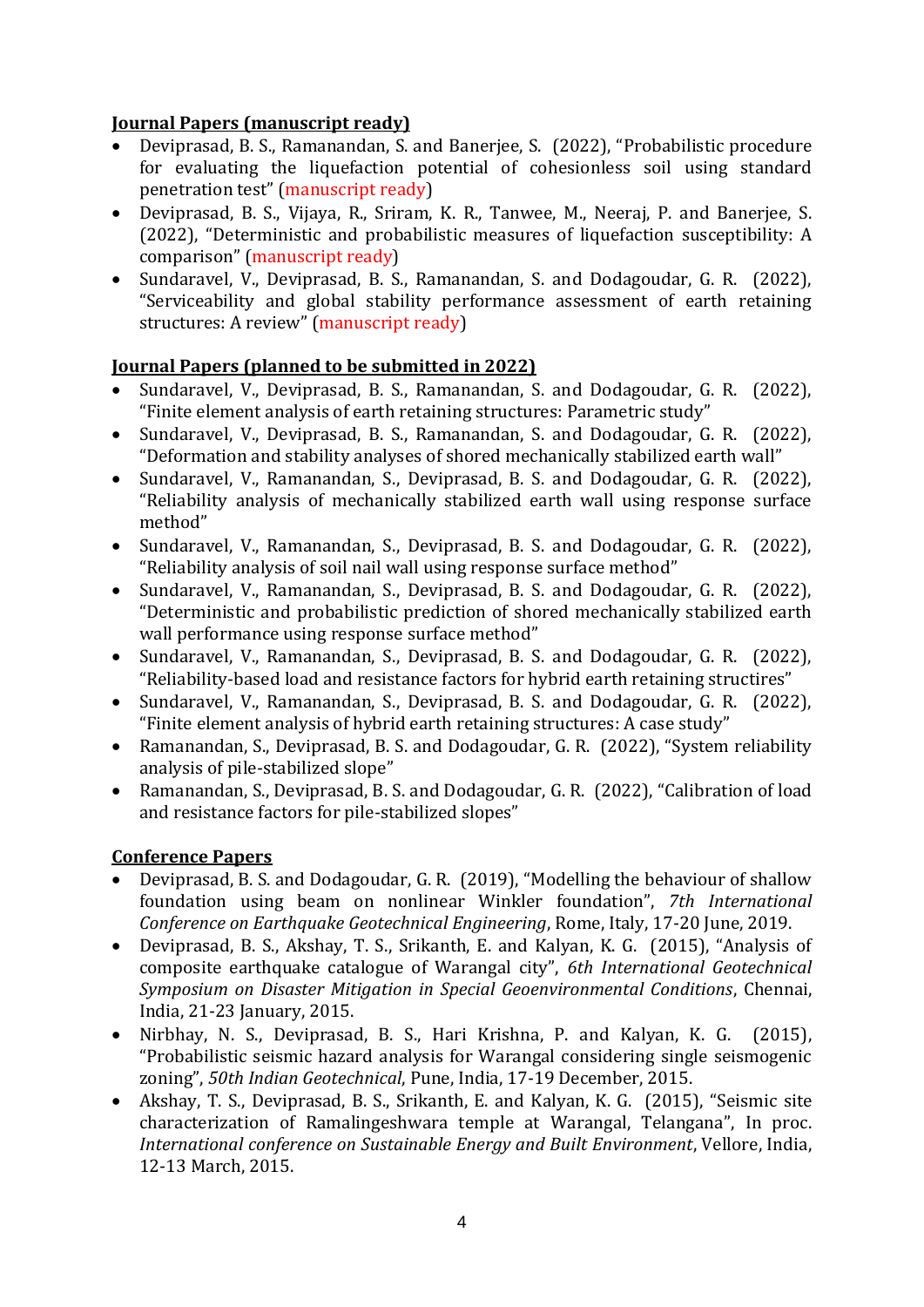#### **Journal Papers (manuscript ready)**

- Deviprasad, B. S., Ramanandan, S. and Banerjee, S. (2022), "Probabilistic procedure for evaluating the liquefaction potential of cohesionless soil using standard penetration test" (manuscript ready)
- Deviprasad, B. S., Vijaya, R., Sriram, K. R., Tanwee, M., Neeraj, P. and Banerjee, S. (2022), "Deterministic and probabilistic measures of liquefaction susceptibility: A comparison" (manuscript ready)
- Sundaravel, V., Deviprasad, B. S., Ramanandan, S. and Dodagoudar, G. R. (2022), "Serviceability and global stability performance assessment of earth retaining structures: A review" (manuscript ready)

## **Journal Papers (planned to be submitted in 2022)**

- Sundaravel, V., Deviprasad, B. S., Ramanandan, S. and Dodagoudar, G. R. (2022), "Finite element analysis of earth retaining structures: Parametric study"
- Sundaravel, V., Deviprasad, B. S., Ramanandan, S. and Dodagoudar, G. R. (2022), "Deformation and stability analyses of shored mechanically stabilized earth wall"
- Sundaravel, V., Ramanandan, S., Deviprasad, B. S. and Dodagoudar, G. R. (2022), "Reliability analysis of mechanically stabilized earth wall using response surface method"
- Sundaravel, V., Ramanandan, S., Deviprasad, B. S. and Dodagoudar, G. R. (2022), "Reliability analysis of soil nail wall using response surface method"
- Sundaravel, V., Ramanandan, S., Deviprasad, B. S. and Dodagoudar, G. R. (2022), "Deterministic and probabilistic prediction of shored mechanically stabilized earth wall performance using response surface method"
- Sundaravel, V., Ramanandan, S., Deviprasad, B. S. and Dodagoudar, G. R. (2022), "Reliability-based load and resistance factors for hybrid earth retaining structires"
- Sundaravel, V., Ramanandan, S., Deviprasad, B. S. and Dodagoudar, G. R. (2022), "Finite element analysis of hybrid earth retaining structures: A case study"
- Ramanandan, S., Deviprasad, B. S. and Dodagoudar, G. R. (2022), "System reliability analysis of pile-stabilized slope"
- Ramanandan, S., Deviprasad, B. S. and Dodagoudar, G. R. (2022), "Calibration of load and resistance factors for pile-stabilized slopes"

## **Conference Papers**

- Deviprasad, B. S. and Dodagoudar, G. R. (2019), "Modelling the behaviour of shallow foundation using beam on nonlinear Winkler foundation", *7th International Conference on Earthquake Geotechnical Engineering*, Rome, Italy, 17-20 June, 2019.
- Deviprasad, B. S., Akshay, T. S., Srikanth, E. and Kalyan, K. G. (2015), "Analysis of composite earthquake catalogue of Warangal city", *6th International Geotechnical Symposium on Disaster Mitigation in Special Geoenvironmental Conditions*, Chennai, India, 21-23 January, 2015.
- Nirbhay, N. S., Deviprasad, B. S., Hari Krishna, P. and Kalyan, K. G. (2015), "Probabilistic seismic hazard analysis for Warangal considering single seismogenic zoning", *50th Indian Geotechnical*, Pune, India, 17-19 December, 2015.
- Akshay, T. S., Deviprasad, B. S., Srikanth, E. and Kalyan, K. G. (2015), "Seismic site characterization of Ramalingeshwara temple at Warangal, Telangana", In proc. *International conference on Sustainable Energy and Built Environment*, Vellore, India, 12-13 March, 2015.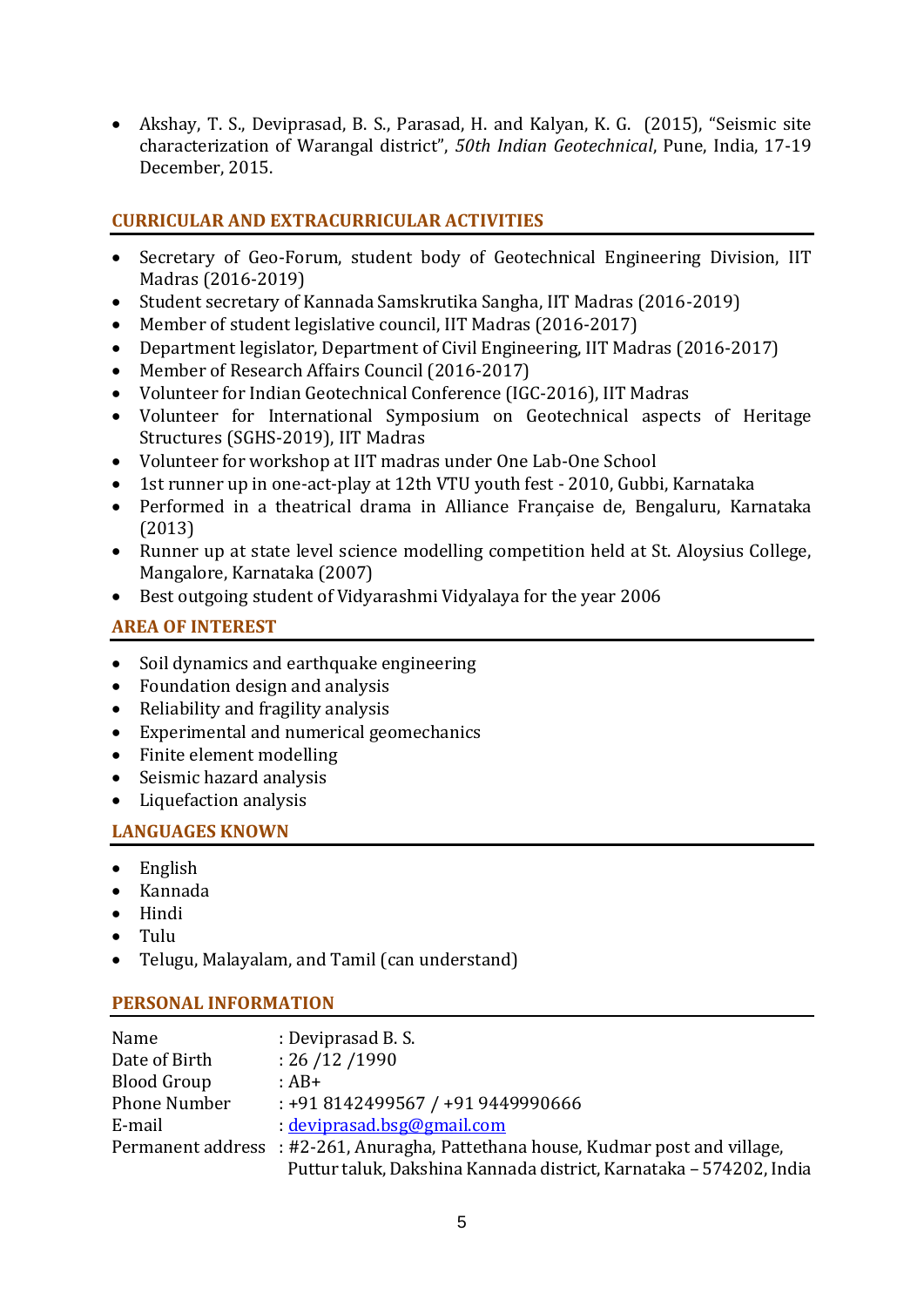• Akshay, T. S., Deviprasad, B. S., Parasad, H. and Kalyan, K. G. (2015), "Seismic site characterization of Warangal district", *50th Indian Geotechnical*, Pune, India, 17-19 December, 2015.

## **CURRICULAR AND EXTRACURRICULAR ACTIVITIES**

- Secretary of Geo-Forum, student body of Geotechnical Engineering Division, IIT Madras (2016-2019)
- Student secretary of Kannada Samskrutika Sangha, IIT Madras (2016-2019)
- Member of student legislative council, IIT Madras (2016-2017)
- Department legislator, Department of Civil Engineering, IIT Madras (2016-2017)
- Member of Research Affairs Council (2016-2017)
- Volunteer for Indian Geotechnical Conference (IGC-2016), IIT Madras
- Volunteer for International Symposium on Geotechnical aspects of Heritage Structures (SGHS-2019), IIT Madras
- Volunteer for workshop at IIT madras under One Lab-One School
- 1st runner up in one-act-play at 12th VTU youth fest 2010, Gubbi, Karnataka
- Performed in a theatrical drama in Alliance Française de, Bengaluru, Karnataka (2013)
- Runner up at state level science modelling competition held at St. Aloysius College, Mangalore, Karnataka (2007)
- Best outgoing student of Vidyarashmi Vidyalaya for the year 2006

# **AREA OF INTEREST**

- Soil dynamics and earthquake engineering
- Foundation design and analysis
- Reliability and fragility analysis
- Experimental and numerical geomechanics
- Finite element modelling
- Seismic hazard analysis
- Liquefaction analysis

## **LANGUAGES KNOWN**

- English
- Kannada
- Hindi
- Tulu
- Telugu, Malayalam, and Tamil (can understand)

## **PERSONAL INFORMATION**

| Name               | : Deviprasad B. S.                                                               |
|--------------------|----------------------------------------------------------------------------------|
| Date of Birth      | : 26 / 12 / 1990                                                                 |
| <b>Blood Group</b> | $:AB+$                                                                           |
| Phone Number       | : +91 8142499567 / +91 9449990666                                                |
| E-mail             | $\cdot$ deviprasad.bsg@gmail.com                                                 |
|                    | Permanent address : #2-261, Anuragha, Pattethana house, Kudmar post and village, |
|                    | Puttur taluk, Dakshina Kannada district, Karnataka - 574202, India               |